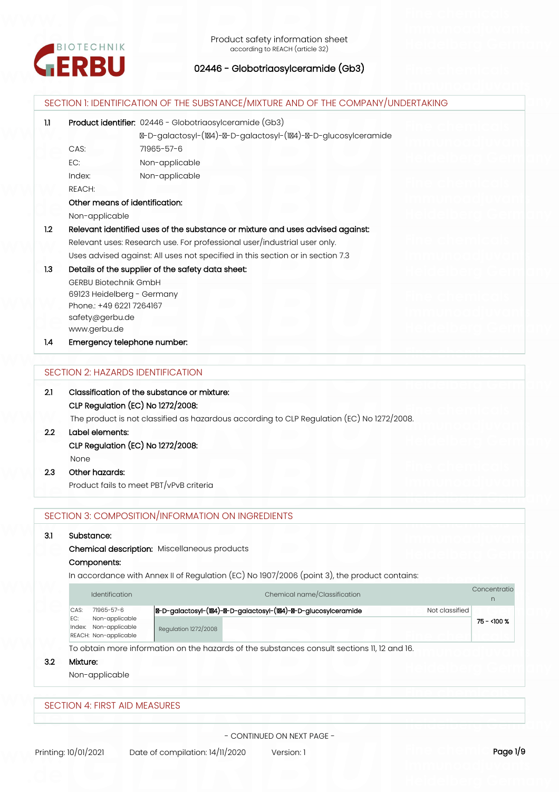

|     |                              | SECTION 1: IDENTIFICATION OF THE SUBSTANCE/MIXTURE AND OF THE COMPANY/UNDERTAKING |  |
|-----|------------------------------|-----------------------------------------------------------------------------------|--|
| 1.1 |                              | Product identifier: 02446 - Globotriaosylceramide (Gb3)                           |  |
|     |                              | M-D-galactosyl-(1M4)-M-D-galactosyl-(1M4)-M-D-glucosylceramide                    |  |
|     | CAS:                         | 71965-57-6                                                                        |  |
|     | EC:                          | Non-applicable                                                                    |  |
|     | Index:                       | Non-applicable                                                                    |  |
|     | <b>REACH:</b>                |                                                                                   |  |
|     |                              | Other means of identification:                                                    |  |
|     | Non-applicable               |                                                                                   |  |
| 1.2 |                              | Relevant identified uses of the substance or mixture and uses advised against:    |  |
|     |                              | Relevant uses: Research use. For professional user/industrial user only.          |  |
|     |                              | Uses advised against: All uses not specified in this section or in section 7.3    |  |
| 1.3 |                              | Details of the supplier of the safety data sheet:                                 |  |
|     | <b>GERBU Biotechnik GmbH</b> |                                                                                   |  |
|     |                              | 69123 Heidelberg - Germany                                                        |  |
|     | Phone: +49 6221 7264167      |                                                                                   |  |
|     | safety@gerbu.de              |                                                                                   |  |
|     | www.gerbu.de                 |                                                                                   |  |
| 1.4 |                              | Emergency telephone number:                                                       |  |

## SECTION 2: HAZARDS IDENTIFICATION

| 2.1 | Classification of the substance or mixture:                                               |
|-----|-------------------------------------------------------------------------------------------|
|     | CLP Regulation (EC) No 1272/2008:                                                         |
|     | The product is not classified as hazardous according to CLP Regulation (EC) No 1272/2008. |
| 22  | Label elements:                                                                           |
|     | CLP Regulation (EC) No 1272/2008:                                                         |
|     | <b>None</b>                                                                               |
| 23  | Other hazards:                                                                            |

Product fails to meet PBT/vPvB criteria

## SECTION 3: COMPOSITION/INFORMATION ON INGREDIENTS

### **3.1 Substance:**

**Chemical description:** Miscellaneous products

#### **Components:**

In accordance with Annex II of Regulation (EC) No 1907/2006 (point 3), the product contains:

|      | <b>Identification</b>                                            | Chemical name/Classification                                 |                | Concentratio |
|------|------------------------------------------------------------------|--------------------------------------------------------------|----------------|--------------|
| CAS: | 71965-57-6                                                       | M-D-galactosyl-(MA)-M-D-galactosyl-(MA)-M-D-glucosylceramide | Not classified |              |
| EC:  | Non-applicable<br>Index: Non-applicable<br>REACH: Non-applicable | Regulation 1272/2008                                         |                | $75 - 100 %$ |

To obtain more information on the hazards of the substances consult sections 11, 12 and 16.

## **3.2 Mixture:**

Non-applicable

SECTION 4: FIRST AID MEASURES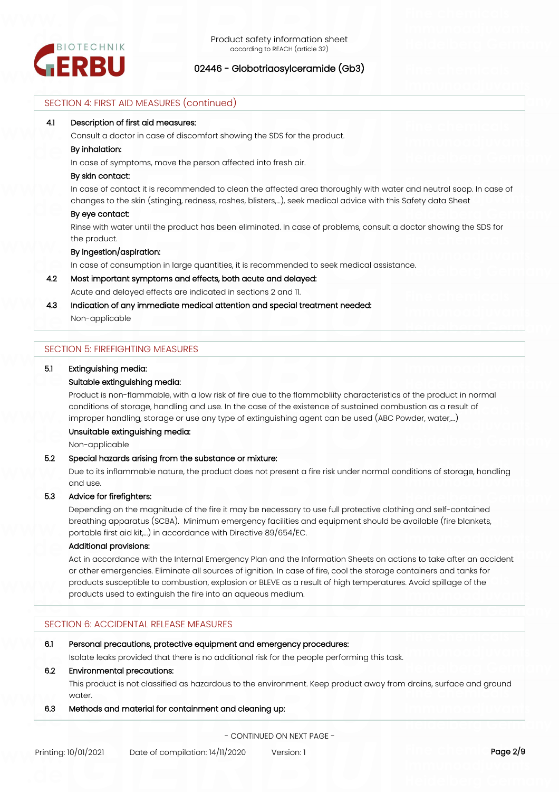

# SECTION 4: FIRST AID MEASURES (continued) **4.1 Description of first aid measures:** Consult a doctor in case of discomfort showing the SDS for the product. **By inhalation:** In case of symptoms, move the person affected into fresh air. **By skin contact:**

In case of contact it is recommended to clean the affected area thoroughly with water and neutral soap. In case of changes to the skin (stinging, redness, rashes, blisters,…), seek medical advice with this Safety data Sheet

## **By eye contact:**

Rinse with water until the product has been eliminated. In case of problems, consult a doctor showing the SDS for the product.

#### **By ingestion/aspiration:**

In case of consumption in large quantities, it is recommended to seek medical assistance.

**4.2 Most important symptoms and effects, both acute and delayed:**

Acute and delayed effects are indicated in sections 2 and 11.

# **4.3 Indication of any immediate medical attention and special treatment needed:**

Non-applicable

## SECTION 5: FIREFIGHTING MEASURES

## **5.1 Extinguishing media:**

#### **Suitable extinguishing media:**

Product is non-flammable, with a low risk of fire due to the flammabliity characteristics of the product in normal conditions of storage, handling and use. In the case of the existence of sustained combustion as a result of improper handling, storage or use any type of extinguishing agent can be used (ABC Powder, water,...)

### **Unsuitable extinguishing media:**

Non-applicable

## **5.2 Special hazards arising from the substance or mixture:**

Due to its inflammable nature, the product does not present a fire risk under normal conditions of storage, handling and use.

#### **5.3 Advice for firefighters:**

Depending on the magnitude of the fire it may be necessary to use full protective clothing and self-contained breathing apparatus (SCBA). Minimum emergency facilities and equipment should be available (fire blankets, portable first aid kit,...) in accordance with Directive 89/654/EC.

#### **Additional provisions:**

Act in accordance with the Internal Emergency Plan and the Information Sheets on actions to take after an accident or other emergencies. Eliminate all sources of ignition. In case of fire, cool the storage containers and tanks for products susceptible to combustion, explosion or BLEVE as a result of high temperatures. Avoid spillage of the products used to extinguish the fire into an aqueous medium.

## SECTION 6: ACCIDENTAL RELEASE MEASURES

#### **6.1 Personal precautions, protective equipment and emergency procedures:**

Isolate leaks provided that there is no additional risk for the people performing this task.

### **6.2 Environmental precautions:**

This product is not classified as hazardous to the environment. Keep product away from drains, surface and ground water

## **6.3 Methods and material for containment and cleaning up:**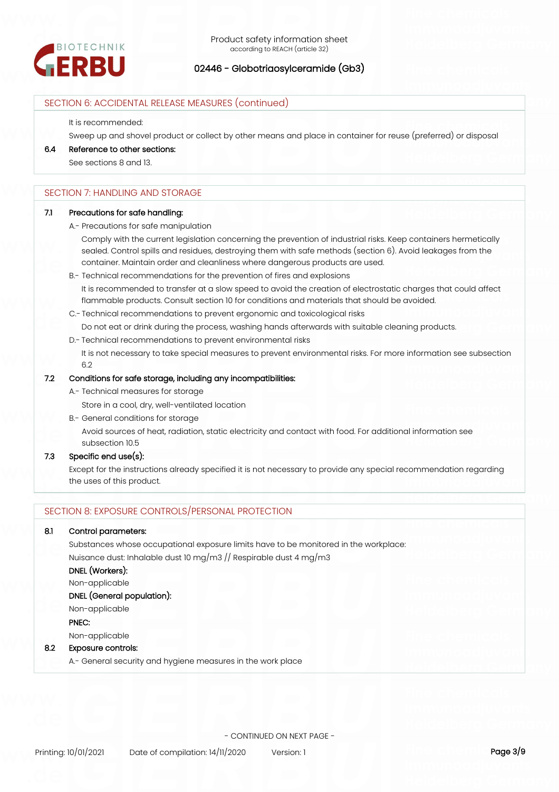

## SECTION 6: ACCIDENTAL RELEASE MEASURES (continued)

It is recommended:

Sweep up and shovel product or collect by other means and place in container for reuse (preferred) or disposal

## **6.4 Reference to other sections:**

See sections 8 and 13.

### SECTION 7' HANDLING AND STORAGE

#### **7.1 Precautions for safe handling:**

A.- Precautions for safe manipulation

Comply with the current legislation concerning the prevention of industrial risks. Keep containers hermetically sealed. Control spills and residues, destroying them with safe methods (section 6). Avoid leakages from the container. Maintain order and cleanliness where dangerous products are used.

B.- Technical recommendations for the prevention of fires and explosions

It is recommended to transfer at a slow speed to avoid the creation of electrostatic charges that could affect flammable products. Consult section 10 for conditions and materials that should be avoided.

- C.- Technical recommendations to prevent ergonomic and toxicological risks
- Do not eat or drink during the process, washing hands afterwards with suitable cleaning products.
- D.- Technical recommendations to prevent environmental risks

It is not necessary to take special measures to prevent environmental risks. For more information see subsection 6.2

## **7.2 Conditions for safe storage, including any incompatibilities:**

A.- Technical measures for storage

Store in a cool, dry, well-ventilated location

B.- General conditions for storage

Avoid sources of heat, radiation, static electricity and contact with food. For additional information see subsection 10.5

#### **7.3 Specific end use(s):**

Except for the instructions already specified it is not necessary to provide any special recommendation regarding the uses of this product.

## SECTION 8: EXPOSURE CONTROLS/PERSONAL PROTECTION

#### **8.1 Control parameters:**

Substances whose occupational exposure limits have to be monitored in the workplace:

Nuisance dust: Inhalable dust 10 mg/m3 // Respirable dust 4 mg/m3

## **DNEL (Workers):**

Non-applicable

## **DNEL (General population):**

Non-applicable

**PNEC:**

Non-applicable

## **8.2 Exposure controls:**

A.- General security and hygiene measures in the work place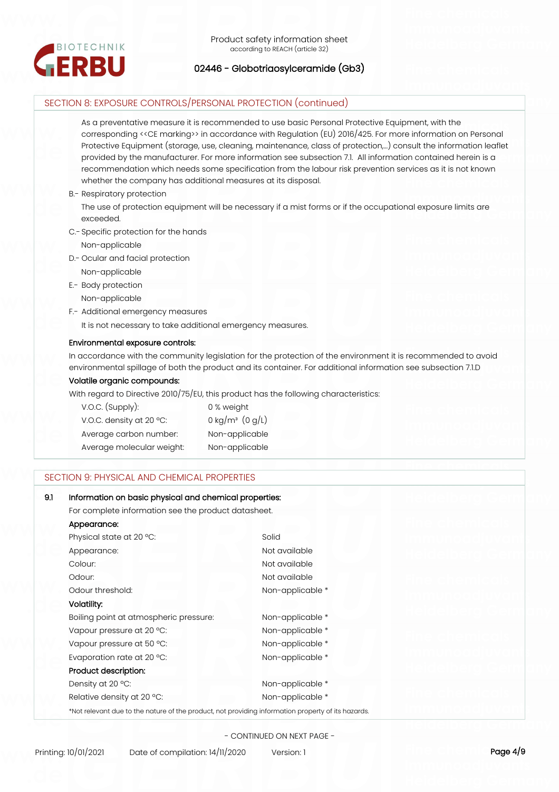

## SECTION 8: EXPOSURE CONTROLS/PERSONAL PROTECTION (continued)

As a preventative measure it is recommended to use basic Personal Protective Equipment, with the corresponding <<CE marking>> in accordance with Regulation (EU) 2016/425. For more information on Personal Protective Equipment (storage, use, cleaning, maintenance, class of protection,…) consult the information leaflet provided by the manufacturer. For more information see subsection 7.1. All information contained herein is a recommendation which needs some specification from the labour risk prevention services as it is not known whether the company has additional measures at its disposal.

#### B.- Respiratory protection

The use of protection equipment will be necessary if a mist forms or if the occupational exposure limits are exceeded.

C.- Specific protection for the hands

Non-applicable

- D.- Ocular and facial protection
- Non-applicable
- E.- Body protection Non-applicable
- F.- Additional emergency measures

It is not necessary to take additional emergency measures.

#### **Environmental exposure controls:**

In accordance with the community legislation for the protection of the environment it is recommended to avoid environmental spillage of both the product and its container. For additional information see subsection 7.1.D

#### **Volatile organic compounds:**

With regard to Directive 2010/75/EU, this product has the following characteristics:

| $V.O.C.$ (Supply):        | 0 % weight                    |
|---------------------------|-------------------------------|
| V.O.C. density at 20 °C:  | 0 kg/m <sup>3</sup> $(0 g/L)$ |
| Average carbon number:    | Non-applicable                |
| Average molecular weight: | Non-applicable                |

## SECTION 9: PHYSICAL AND CHEMICAL PROPERTIES

### **9.1 Information on basic physical and chemical properties:**

For complete information see the product datasheet.

| Appearance:                                                                                        |                  |  |
|----------------------------------------------------------------------------------------------------|------------------|--|
| Physical state at 20 °C:                                                                           | Solid            |  |
| Appearance:                                                                                        | Not available    |  |
| Colour:                                                                                            | Not available    |  |
| Odour:                                                                                             | Not available    |  |
| Odour threshold:                                                                                   | Non-applicable * |  |
| Volatility:                                                                                        |                  |  |
| Boiling point at atmospheric pressure:                                                             | Non-applicable * |  |
| Vapour pressure at 20 °C:                                                                          | Non-applicable * |  |
| Vapour pressure at 50 °C:                                                                          | Non-applicable * |  |
| Evaporation rate at 20 °C:                                                                         | Non-applicable * |  |
| Product description:                                                                               |                  |  |
| Density at 20 °C:                                                                                  | Non-applicable * |  |
| Relative density at 20 °C:                                                                         | Non-applicable * |  |
| *Not relevant due to the nature of the product, not providing information property of its hazards. |                  |  |

- CONTINUED ON NEXT PAGE -

Printing: 10/01/2021 Date of compilation: 14/11/2020 Version: 1 **Page 4/9** Printing: 10/01/2021 **Page 4/9**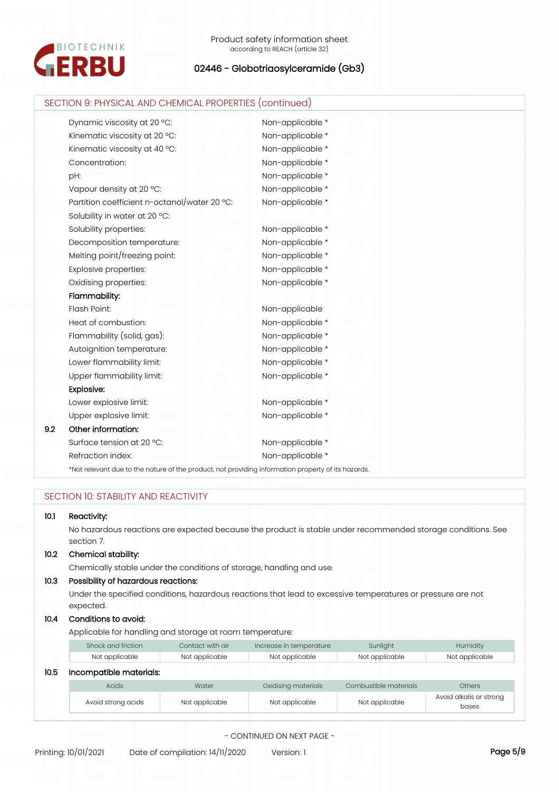

| Dynamic viscosity at 20 °C:                  | Non-applicable *                                                                                   |  |
|----------------------------------------------|----------------------------------------------------------------------------------------------------|--|
| Kinematic viscosity at 20 °C:                | Non-applicable *                                                                                   |  |
| Kinematic viscosity at 40 °C:                | Non-applicable *                                                                                   |  |
| Concentration:                               | Non-applicable *                                                                                   |  |
| pH:                                          | Non-applicable *                                                                                   |  |
| Vapour density at 20 °C:                     | Non-applicable *                                                                                   |  |
| Partition coefficient n-octanol/water 20 °C: | Non-applicable *                                                                                   |  |
| Solubility in water at 20 °C:                |                                                                                                    |  |
| Solubility properties:                       | Non-applicable *                                                                                   |  |
| Decomposition temperature:                   | Non-applicable *                                                                                   |  |
| Melting point/freezing point:                | Non-applicable *                                                                                   |  |
| Explosive properties:                        | Non-applicable *                                                                                   |  |
| Oxidising properties:                        | Non-applicable *                                                                                   |  |
| Flammability:                                |                                                                                                    |  |
| Flash Point:                                 | Non-applicable                                                                                     |  |
| Heat of combustion:                          | Non-applicable *                                                                                   |  |
| Flammability (solid, gas):                   | Non-applicable *                                                                                   |  |
| Autoignition temperature:                    | Non-applicable *                                                                                   |  |
| Lower flammability limit:                    | Non-applicable *                                                                                   |  |
| Upper flammability limit:                    | Non-applicable *                                                                                   |  |
| Explosive:                                   |                                                                                                    |  |
| Lower explosive limit:                       | Non-applicable *                                                                                   |  |
| Upper explosive limit:                       | Non-applicable *                                                                                   |  |
| Other information:<br>9.2                    |                                                                                                    |  |
| Surface tension at 20 °C:                    | Non-applicable *                                                                                   |  |
| Refraction index:                            | Non-applicable *                                                                                   |  |
|                                              | *Not relevant due to the nature of the product, not providing information property of its hazards. |  |
|                                              |                                                                                                    |  |

No hazardous reactions are expected because the product is stable under recommended storage conditions. See section 7.

## **10.2 Chemical stability:**

Chemically stable under the conditions of storage, handling and use.

## **10.3 Possibility of hazardous reactions:**

Under the specified conditions, hazardous reactions that lead to excessive temperatures or pressure are not expected.

#### **10.4 Conditions to avoid:**

Applicable for handling and storage at room temperature:

|      | Shock and friction      | Contact with air | Increase in temperature | Sunlight              | Humidity                         |
|------|-------------------------|------------------|-------------------------|-----------------------|----------------------------------|
|      | Not applicable          | Not applicable   | Not applicable          | Not applicable        | Not applicable                   |
| 10.5 | Incompatible materials: |                  |                         |                       |                                  |
|      | Acids                   | Water            | Oxidising materials     | Combustible materials | <b>Others</b>                    |
|      | Avoid strong acids      | Not applicable   | Not applicable          | Not applicable        | Avoid alkalis or strong<br>bases |

- CONTINUED ON NEXT PAGE -

Printing: 10/01/2021 Date of compilation: 14/11/2020 Version: 1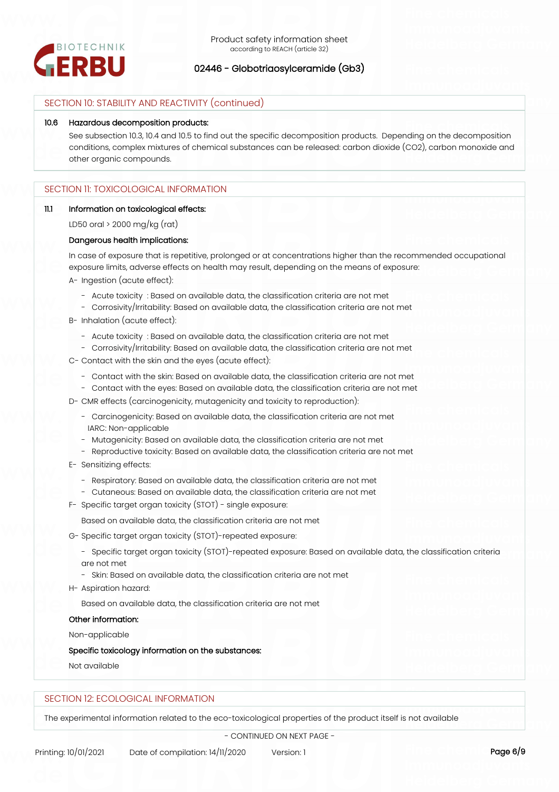

## SECTION 10: STABILITY AND REACTIVITY (continued)

#### **10.6 Hazardous decomposition products:**

See subsection 10.3, 10.4 and 10.5 to find out the specific decomposition products. Depending on the decomposition conditions, complex mixtures of chemical substances can be released: carbon dioxide (CO2), carbon monoxide and other organic compounds.

## SECTION 11: TOXICOLOGICAL INFORMATION

#### **11.1 Information on toxicological effects:**

LD50 oral > 2000 mg/kg (rat)

#### **Dangerous health implications:**

In case of exposure that is repetitive, prolonged or at concentrations higher than the recommended occupational exposure limits, adverse effects on health may result, depending on the means of exposure: A- Ingestion (acute effect):

- Acute toxicity : Based on available data, the classification criteria are not met
- Corrosivity/Irritability: Based on available data, the classification criteria are not met
- B- Inhalation (acute effect):
	- Acute toxicity : Based on available data, the classification criteria are not met
	- Corrosivity/Irritability: Based on available data, the classification criteria are not met
- C- Contact with the skin and the eyes (acute effect):
	- Contact with the skin: Based on available data, the classification criteria are not met
	- Contact with the eyes: Based on available data, the classification criteria are not met
- D- CMR effects (carcinogenicity, mutagenicity and toxicity to reproduction):
	- Carcinogenicity: Based on available data, the classification criteria are not met IARC: Non-applicable
	- Mutagenicity: Based on available data, the classification criteria are not met
	- Reproductive toxicity: Based on available data, the classification criteria are not met
- E- Sensitizing effects:
	- Respiratory: Based on available data, the classification criteria are not met
	- Cutaneous: Based on available data, the classification criteria are not met
- F- Specific target organ toxicity (STOT) single exposure:

Based on available data, the classification criteria are not met

- G- Specific target organ toxicity (STOT)-repeated exposure:
	- Specific target organ toxicity (STOT)-repeated exposure: Based on available data, the classification criteria are not met
	- Skin: Based on available data, the classification criteria are not met
- H- Aspiration hazard:

Based on available data, the classification criteria are not met

#### **Other information:**

Non-applicable

#### **Specific toxicology information on the substances:**

Not available

## SECTION 12: ECOLOGICAL INFORMATION

The experimental information related to the eco-toxicological properties of the product itself is not available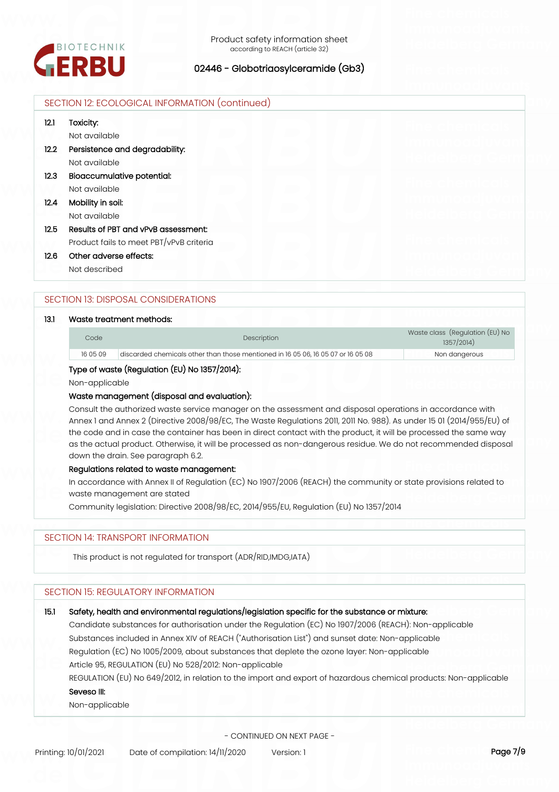

|                   | SECTION 12: ECOLOGICAL INFORMATION (continued) |  |
|-------------------|------------------------------------------------|--|
| 12.1<br>Toxicity: |                                                |  |
|                   | Not available                                  |  |
| 12.2              | Persistence and degradability:                 |  |
|                   | Not available                                  |  |
| 12.3              | Bioaccumulative potential:                     |  |
|                   | Not available                                  |  |
| 12.4              | Mobility in soil:                              |  |
|                   | Not available                                  |  |
| 12.5              | Results of PBT and vPvB assessment:            |  |
|                   | Product fails to meet PBT/vPvB criteria        |  |
| 12.6              | Other adverse effects:                         |  |
|                   | Not described                                  |  |

## SECTION 13: DISPOSAL CONSIDERATIONS

#### **13.1 Waste treatment methods:**

| Code     | <b>Description</b>                                                               | Waste class (Regulation (EU) No<br>1357/2014) |
|----------|----------------------------------------------------------------------------------|-----------------------------------------------|
| 16 05 09 | discarded chemicals other than those mentioned in 16 05 06, 16 05 07 or 16 05 08 | Non dangerous                                 |

### **Type of waste (Regulation (EU) No 1357/2014):**

Non-applicable

### **Waste management (disposal and evaluation):**

Consult the authorized waste service manager on the assessment and disposal operations in accordance with Annex 1 and Annex 2 (Directive 2008/98/EC, The Waste Regulations 2011, 2011 No. 988). As under 15 01 (2014/955/EU) of the code and in case the container has been in direct contact with the product, it will be processed the same way as the actual product. Otherwise, it will be processed as non-dangerous residue. We do not recommended disposal down the drain. See paragraph 6.2.

### **Regulations related to waste management:**

In accordance with Annex II of Regulation (EC) No 1907/2006 (REACH) the community or state provisions related to waste management are stated

Community legislation: Directive 2008/98/EC, 2014/955/EU, Regulation (EU) No 1357/2014

#### SECTION 14: TRANSPORT INFORMATION

This product is not regulated for transport (ADR/RID,IMDG,IATA)

## SECTION 15: REGULATORY INFORMATION

## **15.1 Safety, health and environmental regulations/legislation specific for the substance or mixture:**

Candidate substances for authorisation under the Regulation (EC) No 1907/2006 (REACH): Non-applicable Substances included in Annex XIV of REACH ("Authorisation List") and sunset date: Non-applicable Regulation (EC) No 1005/2009, about substances that deplete the ozone layer: Non-applicable Article 95, REGULATION (EU) No 528/2012: Non-applicable

REGULATION (EU) No 649/2012, in relation to the import and export of hazardous chemical products: Non-applicable **Seveso III:**

Non-applicable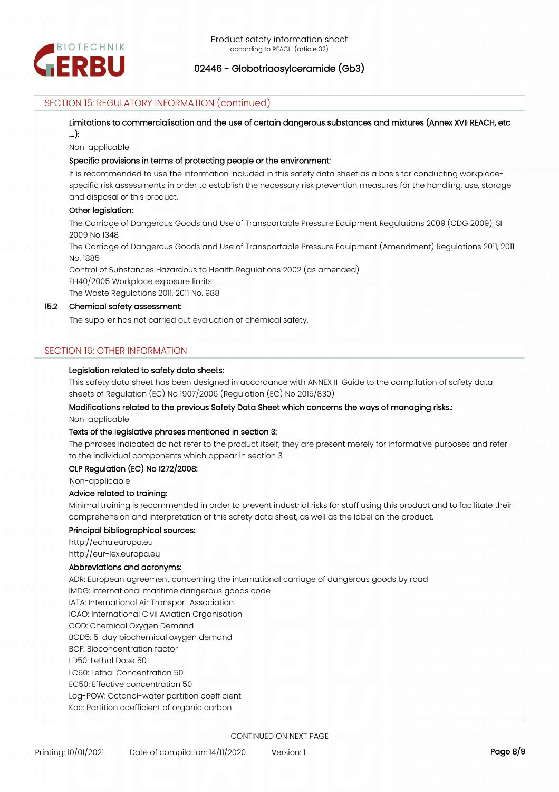

## SECTION 15: REGULATORY INFORMATION (continued)

**Limitations to commercialisation and the use of certain dangerous substances and mixtures (Annex XVII REACH, etc ….):**

Non-applicable

#### **Specific provisions in terms of protecting people or the environment:**

It is recommended to use the information included in this safety data sheet as a basis for conducting workplacespecific risk assessments in order to establish the necessary risk prevention measures for the handling, use, storage and disposal of this product.

## **Other legislation:**

The Carriage of Dangerous Goods and Use of Transportable Pressure Equipment Regulations 2009 (CDG 2009), SI 2009 No 1348

The Carriage of Dangerous Goods and Use of Transportable Pressure Equipment (Amendment) Regulations 2011, 2011 No. 1885

Control of Substances Hazardous to Health Regulations 2002 (as amended)

EH40/2005 Workplace exposure limits

The Waste Regulations 2011, 2011 No. 988

### **15.2 Chemical safety assessment:**

The supplier has not carried out evaluation of chemical safety.

#### SECTION 16: OTHER INFORMATION

#### **Legislation related to safety data sheets:**

This safety data sheet has been designed in accordance with ANNEX II-Guide to the compilation of safety data sheets of Regulation (EC) No 1907/2006 (Regulation (EC) No 2015/830)

#### **Modifications related to the previous Safety Data Sheet which concerns the ways of managing risks.:**

Non-applicable

#### **Texts of the legislative phrases mentioned in section 3:**

The phrases indicated do not refer to the product itself; they are present merely for informative purposes and refer to the individual components which appear in section 3

#### **CLP Regulation (EC) No 1272/2008:**

Non-applicable

#### **Advice related to training:**

Minimal training is recommended in order to prevent industrial risks for staff using this product and to facilitate their comprehension and interpretation of this safety data sheet, as well as the label on the product.

### **Principal bibliographical sources:**

http://echa.europa.eu

## http://eur-lex.europa.eu

#### **Abbreviations and acronyms:**

ADR: European agreement concerning the international carriage of dangerous goods by road IMDG: International maritime dangerous goods code

IATA: International Air Transport Association

ICAO: International Civil Aviation Organisation

COD: Chemical Oxygen Demand

- BOD5: 5-day biochemical oxygen demand
- BCF: Bioconcentration factor
- LD50: Lethal Dose 50
- LC50: Lethal Concentration 50
- EC50: Effective concentration 50
- Log-POW: Octanol-water partition coefficient

Koc: Partition coefficient of organic carbon

- CONTINUED ON NEXT PAGE -

Printing: 10/01/2021 Date of compilation: 14/11/2020 Version: 1 **Page 8/9**